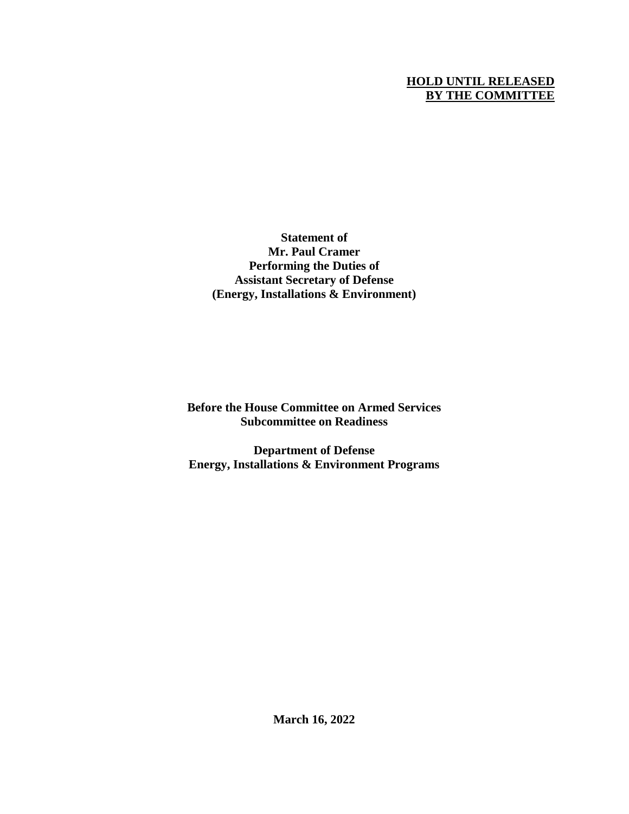# **HOLD UNTIL RELEASED BY THE COMMITTEE**

**Statement of Mr. Paul Cramer Performing the Duties of Assistant Secretary of Defense (Energy, Installations & Environment)**

**Before the House Committee on Armed Services Subcommittee on Readiness**

**Department of Defense Energy, Installations & Environment Programs**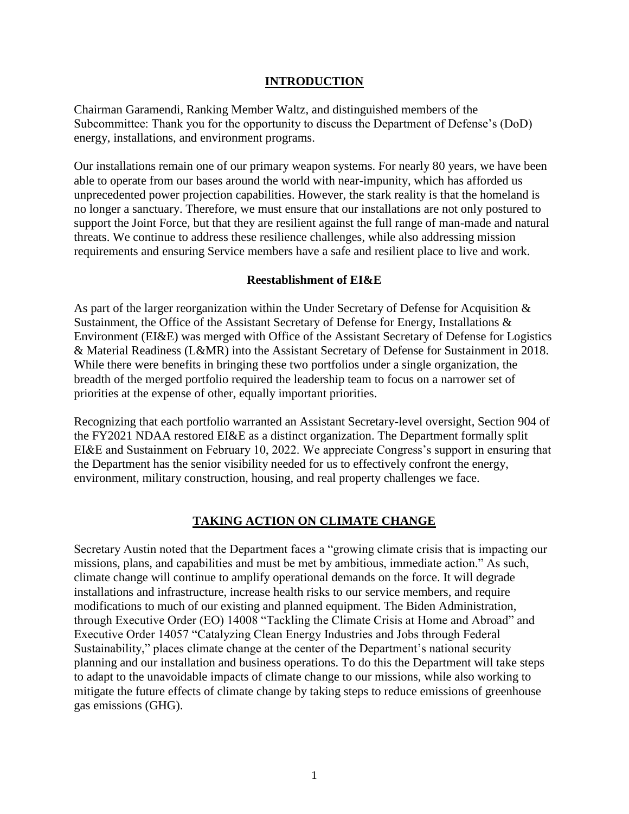### **INTRODUCTION**

Chairman Garamendi, Ranking Member Waltz, and distinguished members of the Subcommittee: Thank you for the opportunity to discuss the Department of Defense's (DoD) energy, installations, and environment programs.

Our installations remain one of our primary weapon systems. For nearly 80 years, we have been able to operate from our bases around the world with near-impunity, which has afforded us unprecedented power projection capabilities. However, the stark reality is that the homeland is no longer a sanctuary. Therefore, we must ensure that our installations are not only postured to support the Joint Force, but that they are resilient against the full range of man-made and natural threats. We continue to address these resilience challenges, while also addressing mission requirements and ensuring Service members have a safe and resilient place to live and work.

### **Reestablishment of EI&E**

As part of the larger reorganization within the Under Secretary of Defense for Acquisition & Sustainment, the Office of the Assistant Secretary of Defense for Energy, Installations & Environment (EI&E) was merged with Office of the Assistant Secretary of Defense for Logistics & Material Readiness (L&MR) into the Assistant Secretary of Defense for Sustainment in 2018. While there were benefits in bringing these two portfolios under a single organization, the breadth of the merged portfolio required the leadership team to focus on a narrower set of priorities at the expense of other, equally important priorities.

Recognizing that each portfolio warranted an Assistant Secretary-level oversight, Section 904 of the FY2021 NDAA restored EI&E as a distinct organization. The Department formally split EI&E and Sustainment on February 10, 2022. We appreciate Congress's support in ensuring that the Department has the senior visibility needed for us to effectively confront the energy, environment, military construction, housing, and real property challenges we face.

## **TAKING ACTION ON CLIMATE CHANGE**

Secretary Austin noted that the Department faces a "growing climate crisis that is impacting our missions, plans, and capabilities and must be met by ambitious, immediate action." As such, climate change will continue to amplify operational demands on the force. It will degrade installations and infrastructure, increase health risks to our service members, and require modifications to much of our existing and planned equipment. The Biden Administration, through Executive Order (EO) 14008 "Tackling the Climate Crisis at Home and Abroad" and Executive Order 14057 "Catalyzing Clean Energy Industries and Jobs through Federal Sustainability," places climate change at the center of the Department's national security planning and our installation and business operations. To do this the Department will take steps to adapt to the unavoidable impacts of climate change to our missions, while also working to mitigate the future effects of climate change by taking steps to reduce emissions of greenhouse gas emissions (GHG).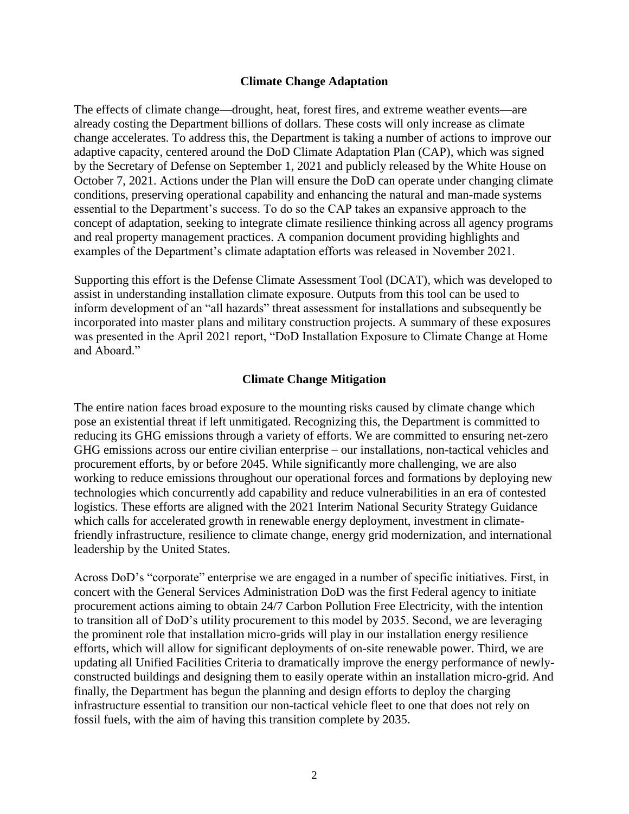#### **Climate Change Adaptation**

The effects of climate change—drought, heat, forest fires, and extreme weather events—are already costing the Department billions of dollars. These costs will only increase as climate change accelerates. To address this, the Department is taking a number of actions to improve our adaptive capacity, centered around the DoD Climate Adaptation Plan (CAP), which was signed by the Secretary of Defense on September 1, 2021 and publicly released by the White House on October 7, 2021. Actions under the Plan will ensure the DoD can operate under changing climate conditions, preserving operational capability and enhancing the natural and man-made systems essential to the Department's success. To do so the CAP takes an expansive approach to the concept of adaptation, seeking to integrate climate resilience thinking across all agency programs and real property management practices. A companion document providing highlights and examples of the Department's climate adaptation efforts was released in November 2021.

Supporting this effort is the Defense Climate Assessment Tool (DCAT), which was developed to assist in understanding installation climate exposure. Outputs from this tool can be used to inform development of an "all hazards" threat assessment for installations and subsequently be incorporated into master plans and military construction projects. A summary of these exposures was presented in the April 2021 report, "DoD Installation Exposure to Climate Change at Home and Aboard."

#### **Climate Change Mitigation**

The entire nation faces broad exposure to the mounting risks caused by climate change which pose an existential threat if left unmitigated. Recognizing this, the Department is committed to reducing its GHG emissions through a variety of efforts. We are committed to ensuring net-zero GHG emissions across our entire civilian enterprise – our installations, non-tactical vehicles and procurement efforts, by or before 2045. While significantly more challenging, we are also working to reduce emissions throughout our operational forces and formations by deploying new technologies which concurrently add capability and reduce vulnerabilities in an era of contested logistics. These efforts are aligned with the 2021 Interim National Security Strategy Guidance which calls for accelerated growth in renewable energy deployment, investment in climatefriendly infrastructure, resilience to climate change, energy grid modernization, and international leadership by the United States.

Across DoD's "corporate" enterprise we are engaged in a number of specific initiatives. First, in concert with the General Services Administration DoD was the first Federal agency to initiate procurement actions aiming to obtain 24/7 Carbon Pollution Free Electricity, with the intention to transition all of DoD's utility procurement to this model by 2035. Second, we are leveraging the prominent role that installation micro-grids will play in our installation energy resilience efforts, which will allow for significant deployments of on-site renewable power. Third, we are updating all Unified Facilities Criteria to dramatically improve the energy performance of newlyconstructed buildings and designing them to easily operate within an installation micro-grid. And finally, the Department has begun the planning and design efforts to deploy the charging infrastructure essential to transition our non-tactical vehicle fleet to one that does not rely on fossil fuels, with the aim of having this transition complete by 2035.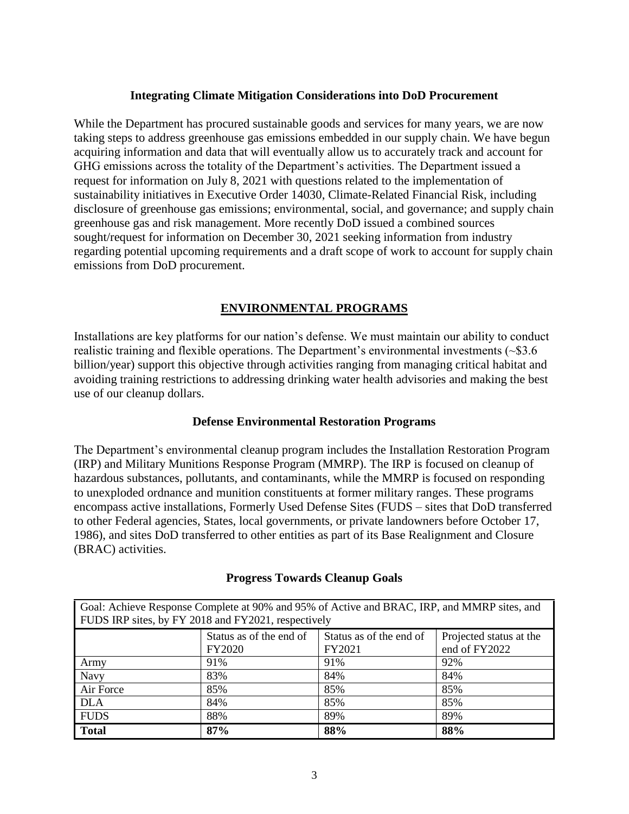### **Integrating Climate Mitigation Considerations into DoD Procurement**

While the Department has procured sustainable goods and services for many years, we are now taking steps to address greenhouse gas emissions embedded in our supply chain. We have begun acquiring information and data that will eventually allow us to accurately track and account for GHG emissions across the totality of the Department's activities. The Department issued a request for information on July 8, 2021 with questions related to the implementation of sustainability initiatives in Executive Order 14030, Climate-Related Financial Risk, including disclosure of greenhouse gas emissions; environmental, social, and governance; and supply chain greenhouse gas and risk management. More recently DoD issued a combined sources sought/request for information on December 30, 2021 seeking information from industry regarding potential upcoming requirements and a draft scope of work to account for supply chain emissions from DoD procurement.

# **ENVIRONMENTAL PROGRAMS**

Installations are key platforms for our nation's defense. We must maintain our ability to conduct realistic training and flexible operations. The Department's environmental investments  $(\sim$ \$3.6 billion/year) support this objective through activities ranging from managing critical habitat and avoiding training restrictions to addressing drinking water health advisories and making the best use of our cleanup dollars.

### **Defense Environmental Restoration Programs**

The Department's environmental cleanup program includes the Installation Restoration Program (IRP) and Military Munitions Response Program (MMRP). The IRP is focused on cleanup of hazardous substances, pollutants, and contaminants, while the MMRP is focused on responding to unexploded ordnance and munition constituents at former military ranges. These programs encompass active installations, Formerly Used Defense Sites (FUDS – sites that DoD transferred to other Federal agencies, States, local governments, or private landowners before October 17, 1986), and sites DoD transferred to other entities as part of its Base Realignment and Closure (BRAC) activities.

| Goal: Achieve Response Complete at 90% and 95% of Active and BRAC, IRP, and MMRP sites, and |                         |                         |                         |
|---------------------------------------------------------------------------------------------|-------------------------|-------------------------|-------------------------|
| FUDS IRP sites, by FY 2018 and FY2021, respectively                                         |                         |                         |                         |
|                                                                                             | Status as of the end of | Status as of the end of | Projected status at the |
|                                                                                             | <b>FY2020</b>           | FY2021                  | end of FY2022           |
| Army                                                                                        | 91%                     | 91%                     | 92%                     |
| Navy                                                                                        | 83%                     | 84%                     | 84%                     |
| Air Force                                                                                   | 85%                     | 85%                     | 85%                     |
| <b>DLA</b>                                                                                  | 84%                     | 85%                     | 85%                     |
| <b>FUDS</b>                                                                                 | 88%                     | 89%                     | 89%                     |
| <b>Total</b>                                                                                | 87%                     | 88%                     | 88%                     |

### **Progress Towards Cleanup Goals**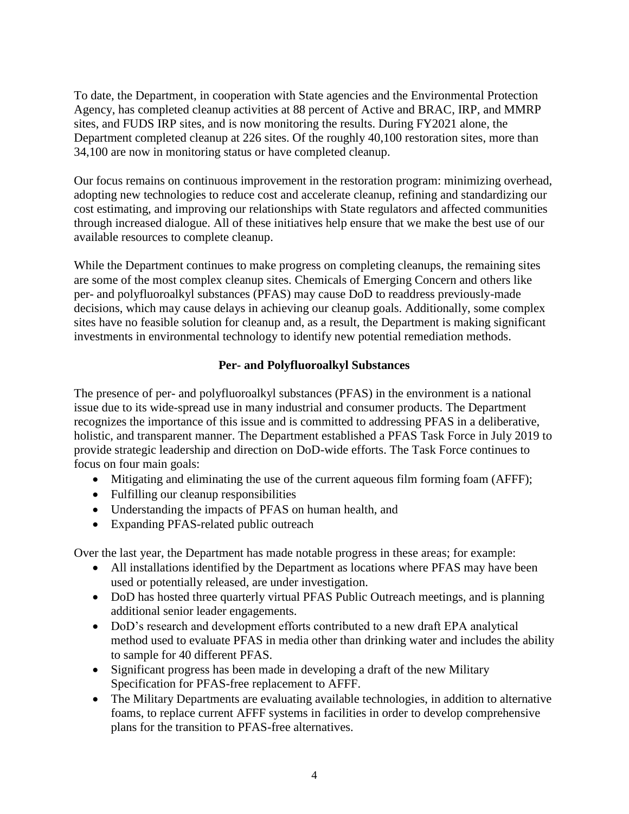To date, the Department, in cooperation with State agencies and the Environmental Protection Agency, has completed cleanup activities at 88 percent of Active and BRAC, IRP, and MMRP sites, and FUDS IRP sites, and is now monitoring the results. During FY2021 alone, the Department completed cleanup at 226 sites. Of the roughly 40,100 restoration sites, more than 34,100 are now in monitoring status or have completed cleanup.

Our focus remains on continuous improvement in the restoration program: minimizing overhead, adopting new technologies to reduce cost and accelerate cleanup, refining and standardizing our cost estimating, and improving our relationships with State regulators and affected communities through increased dialogue. All of these initiatives help ensure that we make the best use of our available resources to complete cleanup.

While the Department continues to make progress on completing cleanups, the remaining sites are some of the most complex cleanup sites. Chemicals of Emerging Concern and others like per- and polyfluoroalkyl substances (PFAS) may cause DoD to readdress previously-made decisions, which may cause delays in achieving our cleanup goals. Additionally, some complex sites have no feasible solution for cleanup and, as a result, the Department is making significant investments in environmental technology to identify new potential remediation methods.

### **Per- and Polyfluoroalkyl Substances**

The presence of per- and polyfluoroalkyl substances (PFAS) in the environment is a national issue due to its wide-spread use in many industrial and consumer products. The Department recognizes the importance of this issue and is committed to addressing PFAS in a deliberative, holistic, and transparent manner. The Department established a PFAS Task Force in July 2019 to provide strategic leadership and direction on DoD-wide efforts. The Task Force continues to focus on four main goals:

- Mitigating and eliminating the use of the current aqueous film forming foam (AFFF);
- Fulfilling our cleanup responsibilities
- Understanding the impacts of PFAS on human health, and
- Expanding PFAS-related public outreach

Over the last year, the Department has made notable progress in these areas; for example:

- All installations identified by the Department as locations where PFAS may have been used or potentially released, are under investigation.
- DoD has hosted three quarterly virtual PFAS Public Outreach meetings, and is planning additional senior leader engagements.
- DoD's research and development efforts contributed to a new draft EPA analytical method used to evaluate PFAS in media other than drinking water and includes the ability to sample for 40 different PFAS.
- Significant progress has been made in developing a draft of the new Military Specification for PFAS-free replacement to AFFF.
- The Military Departments are evaluating available technologies, in addition to alternative foams, to replace current AFFF systems in facilities in order to develop comprehensive plans for the transition to PFAS-free alternatives.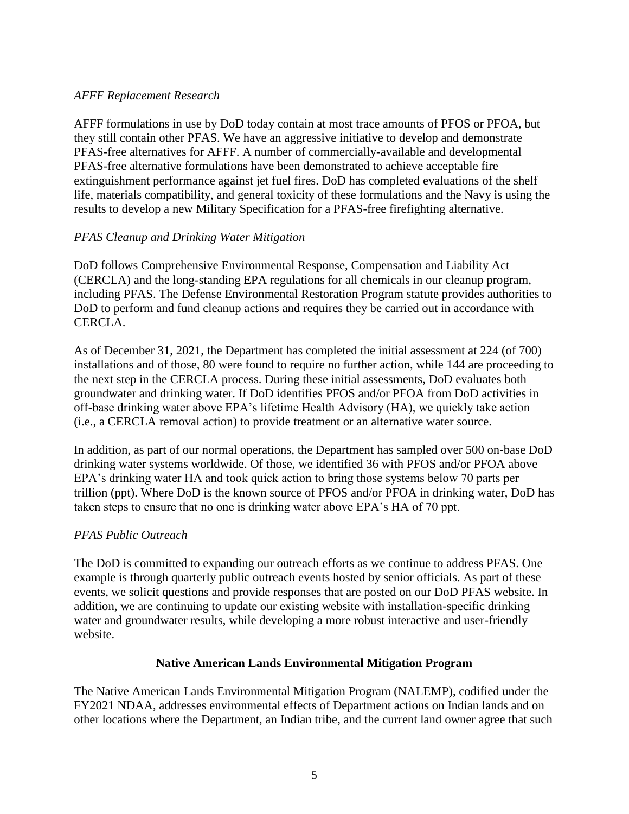## *AFFF Replacement Research*

AFFF formulations in use by DoD today contain at most trace amounts of PFOS or PFOA, but they still contain other PFAS. We have an aggressive initiative to develop and demonstrate PFAS-free alternatives for AFFF. A number of commercially-available and developmental PFAS-free alternative formulations have been demonstrated to achieve acceptable fire extinguishment performance against jet fuel fires. DoD has completed evaluations of the shelf life, materials compatibility, and general toxicity of these formulations and the Navy is using the results to develop a new Military Specification for a PFAS-free firefighting alternative.

# *PFAS Cleanup and Drinking Water Mitigation*

DoD follows Comprehensive Environmental Response, Compensation and Liability Act (CERCLA) and the long-standing EPA regulations for all chemicals in our cleanup program, including PFAS. The Defense Environmental Restoration Program statute provides authorities to DoD to perform and fund cleanup actions and requires they be carried out in accordance with CERCLA.

As of December 31, 2021, the Department has completed the initial assessment at 224 (of 700) installations and of those, 80 were found to require no further action, while 144 are proceeding to the next step in the CERCLA process. During these initial assessments, DoD evaluates both groundwater and drinking water. If DoD identifies PFOS and/or PFOA from DoD activities in off-base drinking water above EPA's lifetime Health Advisory (HA), we quickly take action (i.e., a CERCLA removal action) to provide treatment or an alternative water source.

In addition, as part of our normal operations, the Department has sampled over 500 on-base DoD drinking water systems worldwide. Of those, we identified 36 with PFOS and/or PFOA above EPA's drinking water HA and took quick action to bring those systems below 70 parts per trillion (ppt). Where DoD is the known source of PFOS and/or PFOA in drinking water, DoD has taken steps to ensure that no one is drinking water above EPA's HA of 70 ppt.

## *PFAS Public Outreach*

The DoD is committed to expanding our outreach efforts as we continue to address PFAS. One example is through quarterly public outreach events hosted by senior officials. As part of these events, we solicit questions and provide responses that are posted on our DoD PFAS website. In addition, we are continuing to update our existing website with installation-specific drinking water and groundwater results, while developing a more robust interactive and user-friendly website.

## **Native American Lands Environmental Mitigation Program**

The Native American Lands Environmental Mitigation Program (NALEMP), codified under the FY2021 NDAA, addresses environmental effects of Department actions on Indian lands and on other locations where the Department, an Indian tribe, and the current land owner agree that such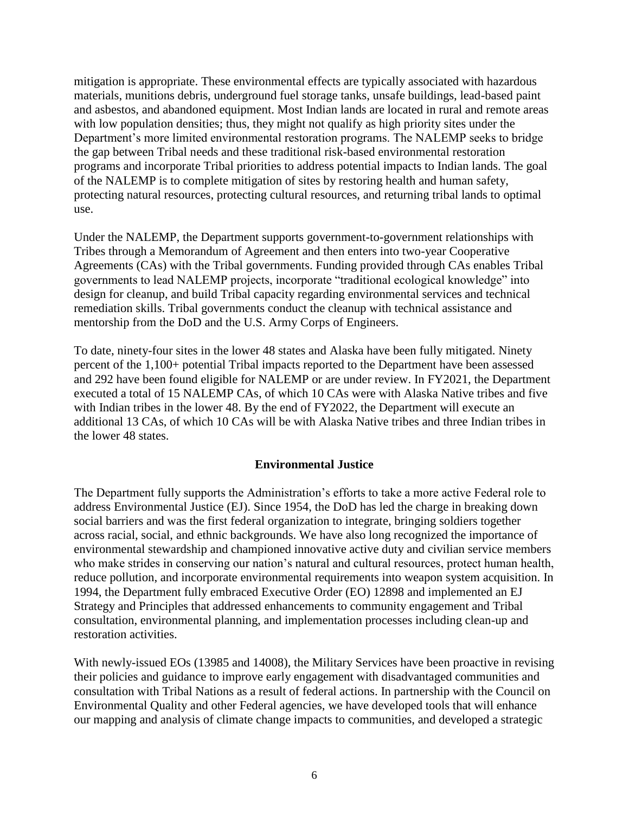mitigation is appropriate. These environmental effects are typically associated with hazardous materials, munitions debris, underground fuel storage tanks, unsafe buildings, lead-based paint and asbestos, and abandoned equipment. Most Indian lands are located in rural and remote areas with low population densities; thus, they might not qualify as high priority sites under the Department's more limited environmental restoration programs. The NALEMP seeks to bridge the gap between Tribal needs and these traditional risk-based environmental restoration programs and incorporate Tribal priorities to address potential impacts to Indian lands. The goal of the NALEMP is to complete mitigation of sites by restoring health and human safety, protecting natural resources, protecting cultural resources, and returning tribal lands to optimal use.

Under the NALEMP, the Department supports government-to-government relationships with Tribes through a Memorandum of Agreement and then enters into two-year Cooperative Agreements (CAs) with the Tribal governments. Funding provided through CAs enables Tribal governments to lead NALEMP projects, incorporate "traditional ecological knowledge" into design for cleanup, and build Tribal capacity regarding environmental services and technical remediation skills. Tribal governments conduct the cleanup with technical assistance and mentorship from the DoD and the U.S. Army Corps of Engineers.

To date, ninety-four sites in the lower 48 states and Alaska have been fully mitigated. Ninety percent of the 1,100+ potential Tribal impacts reported to the Department have been assessed and 292 have been found eligible for NALEMP or are under review. In FY2021, the Department executed a total of 15 NALEMP CAs, of which 10 CAs were with Alaska Native tribes and five with Indian tribes in the lower 48. By the end of FY2022, the Department will execute an additional 13 CAs, of which 10 CAs will be with Alaska Native tribes and three Indian tribes in the lower 48 states.

### **Environmental Justice**

The Department fully supports the Administration's efforts to take a more active Federal role to address Environmental Justice (EJ). Since 1954, the DoD has led the charge in breaking down social barriers and was the first federal organization to integrate, bringing soldiers together across racial, social, and ethnic backgrounds. We have also long recognized the importance of environmental stewardship and championed innovative active duty and civilian service members who make strides in conserving our nation's natural and cultural resources, protect human health, reduce pollution, and incorporate environmental requirements into weapon system acquisition. In 1994, the Department fully embraced Executive Order (EO) 12898 and implemented an EJ Strategy and Principles that addressed enhancements to community engagement and Tribal consultation, environmental planning, and implementation processes including clean-up and restoration activities.

With newly-issued EOs (13985 and 14008), the Military Services have been proactive in revising their policies and guidance to improve early engagement with disadvantaged communities and consultation with Tribal Nations as a result of federal actions. In partnership with the Council on Environmental Quality and other Federal agencies, we have developed tools that will enhance our mapping and analysis of climate change impacts to communities, and developed a strategic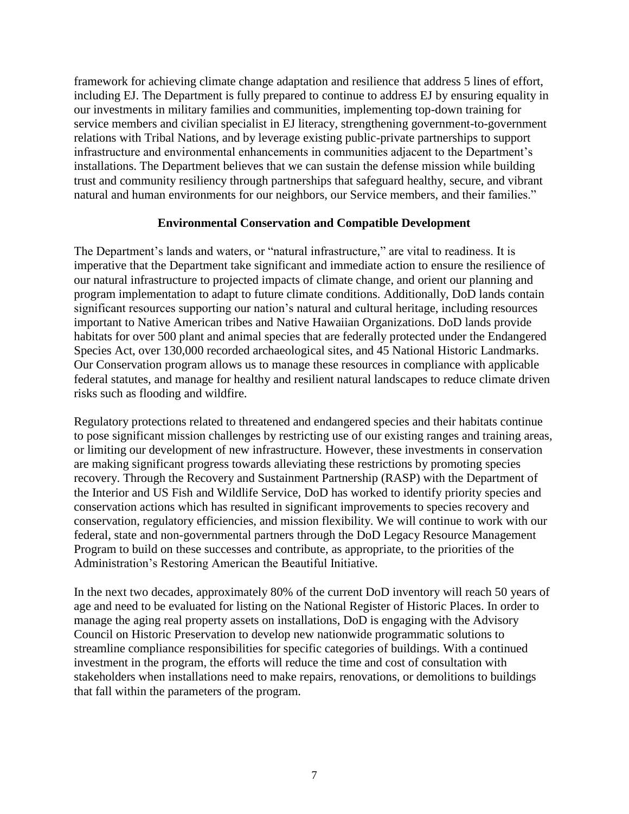framework for achieving climate change adaptation and resilience that address 5 lines of effort, including EJ. The Department is fully prepared to continue to address EJ by ensuring equality in our investments in military families and communities, implementing top-down training for service members and civilian specialist in EJ literacy, strengthening government-to-government relations with Tribal Nations, and by leverage existing public-private partnerships to support infrastructure and environmental enhancements in communities adjacent to the Department's installations. The Department believes that we can sustain the defense mission while building trust and community resiliency through partnerships that safeguard healthy, secure, and vibrant natural and human environments for our neighbors, our Service members, and their families."

### **Environmental Conservation and Compatible Development**

The Department's lands and waters, or "natural infrastructure," are vital to readiness. It is imperative that the Department take significant and immediate action to ensure the resilience of our natural infrastructure to projected impacts of climate change, and orient our planning and program implementation to adapt to future climate conditions. Additionally, DoD lands contain significant resources supporting our nation's natural and cultural heritage, including resources important to Native American tribes and Native Hawaiian Organizations. DoD lands provide habitats for over 500 plant and animal species that are federally protected under the Endangered Species Act, over 130,000 recorded archaeological sites, and 45 National Historic Landmarks. Our Conservation program allows us to manage these resources in compliance with applicable federal statutes, and manage for healthy and resilient natural landscapes to reduce climate driven risks such as flooding and wildfire.

Regulatory protections related to threatened and endangered species and their habitats continue to pose significant mission challenges by restricting use of our existing ranges and training areas, or limiting our development of new infrastructure. However, these investments in conservation are making significant progress towards alleviating these restrictions by promoting species recovery. Through the Recovery and Sustainment Partnership (RASP) with the Department of the Interior and US Fish and Wildlife Service, DoD has worked to identify priority species and conservation actions which has resulted in significant improvements to species recovery and conservation, regulatory efficiencies, and mission flexibility. We will continue to work with our federal, state and non-governmental partners through the DoD Legacy Resource Management Program to build on these successes and contribute, as appropriate, to the priorities of the Administration's Restoring American the Beautiful Initiative.

In the next two decades, approximately 80% of the current DoD inventory will reach 50 years of age and need to be evaluated for listing on the National Register of Historic Places. In order to manage the aging real property assets on installations, DoD is engaging with the Advisory Council on Historic Preservation to develop new nationwide programmatic solutions to streamline compliance responsibilities for specific categories of buildings. With a continued investment in the program, the efforts will reduce the time and cost of consultation with stakeholders when installations need to make repairs, renovations, or demolitions to buildings that fall within the parameters of the program.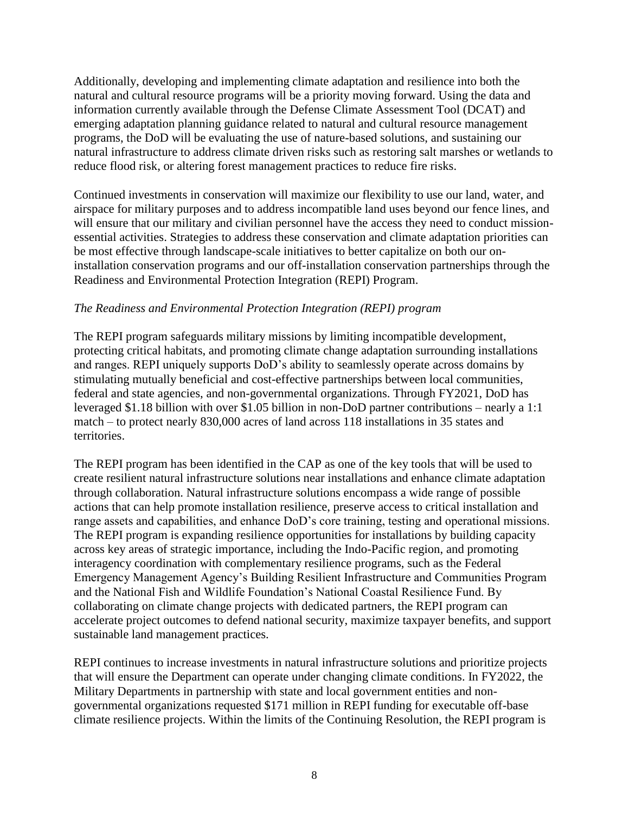Additionally, developing and implementing climate adaptation and resilience into both the natural and cultural resource programs will be a priority moving forward. Using the data and information currently available through the Defense Climate Assessment Tool (DCAT) and emerging adaptation planning guidance related to natural and cultural resource management programs, the DoD will be evaluating the use of nature-based solutions, and sustaining our natural infrastructure to address climate driven risks such as restoring salt marshes or wetlands to reduce flood risk, or altering forest management practices to reduce fire risks.

Continued investments in conservation will maximize our flexibility to use our land, water, and airspace for military purposes and to address incompatible land uses beyond our fence lines, and will ensure that our military and civilian personnel have the access they need to conduct missionessential activities. Strategies to address these conservation and climate adaptation priorities can be most effective through landscape-scale initiatives to better capitalize on both our oninstallation conservation programs and our off-installation conservation partnerships through the Readiness and Environmental Protection Integration (REPI) Program.

## *The Readiness and Environmental Protection Integration (REPI) program*

The REPI program safeguards military missions by limiting incompatible development, protecting critical habitats, and promoting climate change adaptation surrounding installations and ranges. REPI uniquely supports DoD's ability to seamlessly operate across domains by stimulating mutually beneficial and cost-effective partnerships between local communities, federal and state agencies, and non-governmental organizations. Through FY2021, DoD has leveraged \$1.18 billion with over \$1.05 billion in non-DoD partner contributions – nearly a 1:1 match – to protect nearly 830,000 acres of land across 118 installations in 35 states and territories.

The REPI program has been identified in the CAP as one of the key tools that will be used to create resilient natural infrastructure solutions near installations and enhance climate adaptation through collaboration. Natural infrastructure solutions encompass a wide range of possible actions that can help promote installation resilience, preserve access to critical installation and range assets and capabilities, and enhance DoD's core training, testing and operational missions. The REPI program is expanding resilience opportunities for installations by building capacity across key areas of strategic importance, including the Indo-Pacific region, and promoting interagency coordination with complementary resilience programs, such as the Federal Emergency Management Agency's Building Resilient Infrastructure and Communities Program and the National Fish and Wildlife Foundation's National Coastal Resilience Fund. By collaborating on climate change projects with dedicated partners, the REPI program can accelerate project outcomes to defend national security, maximize taxpayer benefits, and support sustainable land management practices.

REPI continues to increase investments in natural infrastructure solutions and prioritize projects that will ensure the Department can operate under changing climate conditions. In FY2022, the Military Departments in partnership with state and local government entities and nongovernmental organizations requested \$171 million in REPI funding for executable off-base climate resilience projects. Within the limits of the Continuing Resolution, the REPI program is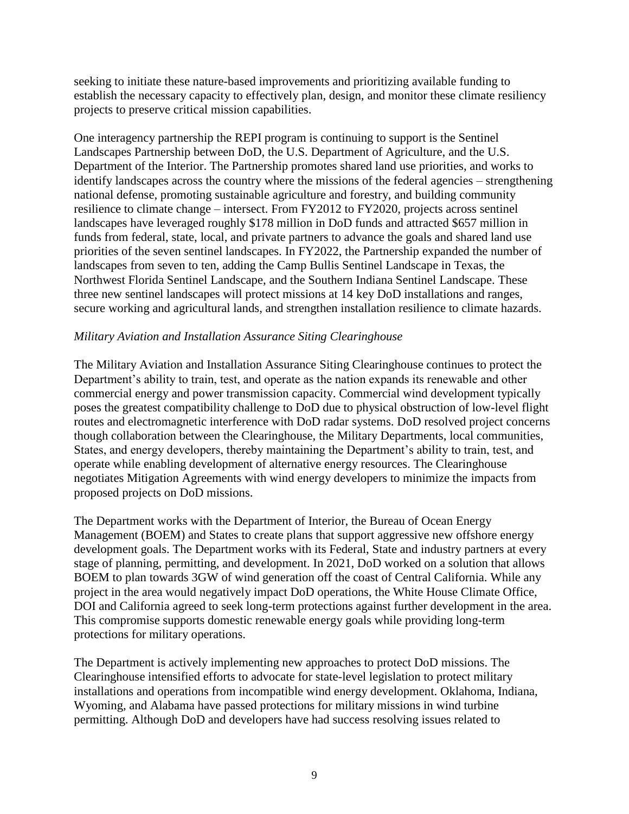seeking to initiate these nature-based improvements and prioritizing available funding to establish the necessary capacity to effectively plan, design, and monitor these climate resiliency projects to preserve critical mission capabilities.

One interagency partnership the REPI program is continuing to support is the Sentinel Landscapes Partnership between DoD, the U.S. Department of Agriculture, and the U.S. Department of the Interior. The Partnership promotes shared land use priorities, and works to identify landscapes across the country where the missions of the federal agencies – strengthening national defense, promoting sustainable agriculture and forestry, and building community resilience to climate change – intersect. From FY2012 to FY2020, projects across sentinel landscapes have leveraged roughly \$178 million in DoD funds and attracted \$657 million in funds from federal, state, local, and private partners to advance the goals and shared land use priorities of the seven sentinel landscapes. In FY2022, the Partnership expanded the number of landscapes from seven to ten, adding the Camp Bullis Sentinel Landscape in Texas, the Northwest Florida Sentinel Landscape, and the Southern Indiana Sentinel Landscape. These three new sentinel landscapes will protect missions at 14 key DoD installations and ranges, secure working and agricultural lands, and strengthen installation resilience to climate hazards.

### *Military Aviation and Installation Assurance Siting Clearinghouse*

The Military Aviation and Installation Assurance Siting Clearinghouse continues to protect the Department's ability to train, test, and operate as the nation expands its renewable and other commercial energy and power transmission capacity. Commercial wind development typically poses the greatest compatibility challenge to DoD due to physical obstruction of low-level flight routes and electromagnetic interference with DoD radar systems. DoD resolved project concerns though collaboration between the Clearinghouse, the Military Departments, local communities, States, and energy developers, thereby maintaining the Department's ability to train, test, and operate while enabling development of alternative energy resources. The Clearinghouse negotiates Mitigation Agreements with wind energy developers to minimize the impacts from proposed projects on DoD missions.

The Department works with the Department of Interior, the Bureau of Ocean Energy Management (BOEM) and States to create plans that support aggressive new offshore energy development goals. The Department works with its Federal, State and industry partners at every stage of planning, permitting, and development. In 2021, DoD worked on a solution that allows BOEM to plan towards 3GW of wind generation off the coast of Central California. While any project in the area would negatively impact DoD operations, the White House Climate Office, DOI and California agreed to seek long-term protections against further development in the area. This compromise supports domestic renewable energy goals while providing long-term protections for military operations.

The Department is actively implementing new approaches to protect DoD missions. The Clearinghouse intensified efforts to advocate for state-level legislation to protect military installations and operations from incompatible wind energy development. Oklahoma, Indiana, Wyoming, and Alabama have passed protections for military missions in wind turbine permitting. Although DoD and developers have had success resolving issues related to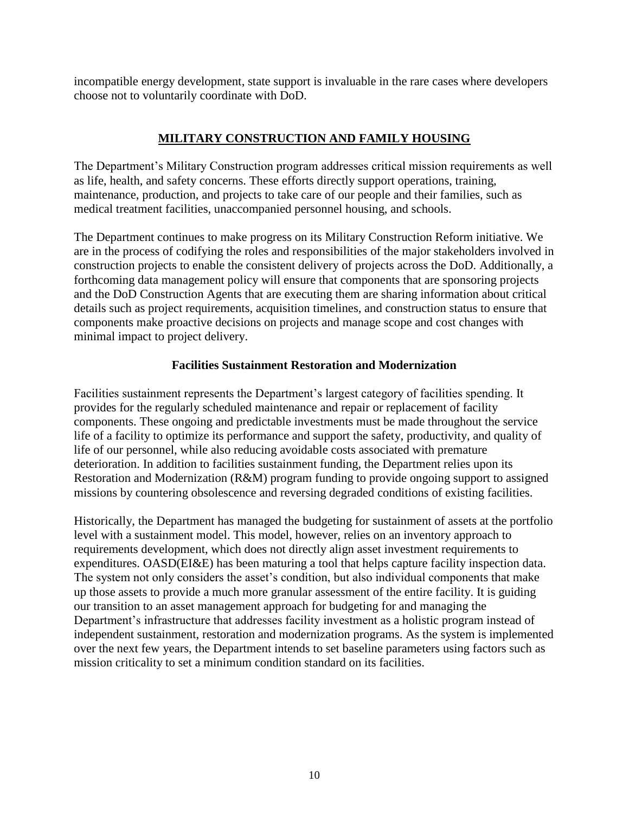incompatible energy development, state support is invaluable in the rare cases where developers choose not to voluntarily coordinate with DoD.

# **MILITARY CONSTRUCTION AND FAMILY HOUSING**

The Department's Military Construction program addresses critical mission requirements as well as life, health, and safety concerns. These efforts directly support operations, training, maintenance, production, and projects to take care of our people and their families, such as medical treatment facilities, unaccompanied personnel housing, and schools.

The Department continues to make progress on its Military Construction Reform initiative. We are in the process of codifying the roles and responsibilities of the major stakeholders involved in construction projects to enable the consistent delivery of projects across the DoD. Additionally, a forthcoming data management policy will ensure that components that are sponsoring projects and the DoD Construction Agents that are executing them are sharing information about critical details such as project requirements, acquisition timelines, and construction status to ensure that components make proactive decisions on projects and manage scope and cost changes with minimal impact to project delivery.

## **Facilities Sustainment Restoration and Modernization**

Facilities sustainment represents the Department's largest category of facilities spending. It provides for the regularly scheduled maintenance and repair or replacement of facility components. These ongoing and predictable investments must be made throughout the service life of a facility to optimize its performance and support the safety, productivity, and quality of life of our personnel, while also reducing avoidable costs associated with premature deterioration. In addition to facilities sustainment funding, the Department relies upon its Restoration and Modernization (R&M) program funding to provide ongoing support to assigned missions by countering obsolescence and reversing degraded conditions of existing facilities.

Historically, the Department has managed the budgeting for sustainment of assets at the portfolio level with a sustainment model. This model, however, relies on an inventory approach to requirements development, which does not directly align asset investment requirements to expenditures. OASD(EI&E) has been maturing a tool that helps capture facility inspection data. The system not only considers the asset's condition, but also individual components that make up those assets to provide a much more granular assessment of the entire facility. It is guiding our transition to an asset management approach for budgeting for and managing the Department's infrastructure that addresses facility investment as a holistic program instead of independent sustainment, restoration and modernization programs. As the system is implemented over the next few years, the Department intends to set baseline parameters using factors such as mission criticality to set a minimum condition standard on its facilities.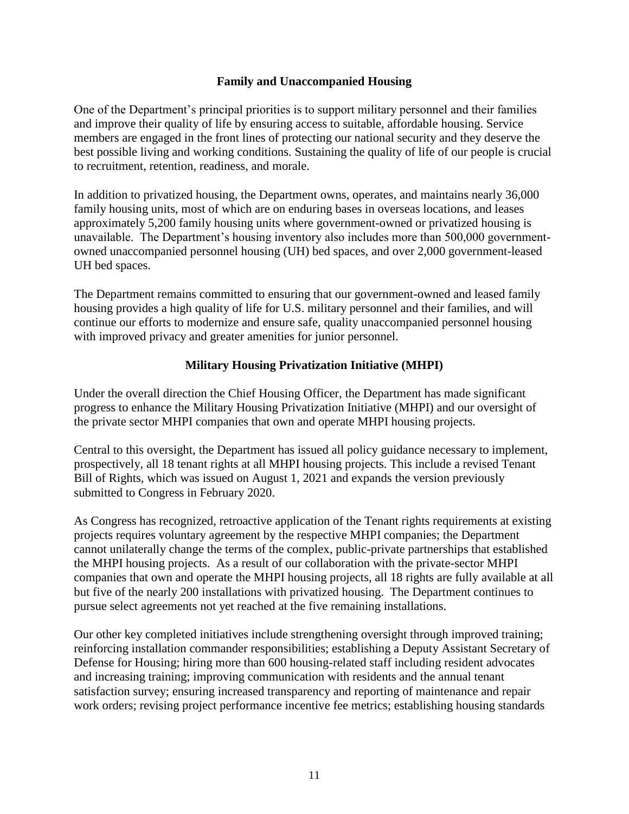### **Family and Unaccompanied Housing**

One of the Department's principal priorities is to support military personnel and their families and improve their quality of life by ensuring access to suitable, affordable housing. Service members are engaged in the front lines of protecting our national security and they deserve the best possible living and working conditions. Sustaining the quality of life of our people is crucial to recruitment, retention, readiness, and morale.

In addition to privatized housing, the Department owns, operates, and maintains nearly 36,000 family housing units, most of which are on enduring bases in overseas locations, and leases approximately 5,200 family housing units where government-owned or privatized housing is unavailable. The Department's housing inventory also includes more than 500,000 governmentowned unaccompanied personnel housing (UH) bed spaces, and over 2,000 government-leased UH bed spaces.

The Department remains committed to ensuring that our government-owned and leased family housing provides a high quality of life for U.S. military personnel and their families, and will continue our efforts to modernize and ensure safe, quality unaccompanied personnel housing with improved privacy and greater amenities for junior personnel.

## **Military Housing Privatization Initiative (MHPI)**

Under the overall direction the Chief Housing Officer, the Department has made significant progress to enhance the Military Housing Privatization Initiative (MHPI) and our oversight of the private sector MHPI companies that own and operate MHPI housing projects.

Central to this oversight, the Department has issued all policy guidance necessary to implement, prospectively, all 18 tenant rights at all MHPI housing projects. This include a revised Tenant Bill of Rights, which was issued on August 1, 2021 and expands the version previously submitted to Congress in February 2020.

As Congress has recognized, retroactive application of the Tenant rights requirements at existing projects requires voluntary agreement by the respective MHPI companies; the Department cannot unilaterally change the terms of the complex, public-private partnerships that established the MHPI housing projects. As a result of our collaboration with the private-sector MHPI companies that own and operate the MHPI housing projects, all 18 rights are fully available at all but five of the nearly 200 installations with privatized housing. The Department continues to pursue select agreements not yet reached at the five remaining installations.

Our other key completed initiatives include strengthening oversight through improved training; reinforcing installation commander responsibilities; establishing a Deputy Assistant Secretary of Defense for Housing; hiring more than 600 housing-related staff including resident advocates and increasing training; improving communication with residents and the annual tenant satisfaction survey; ensuring increased transparency and reporting of maintenance and repair work orders; revising project performance incentive fee metrics; establishing housing standards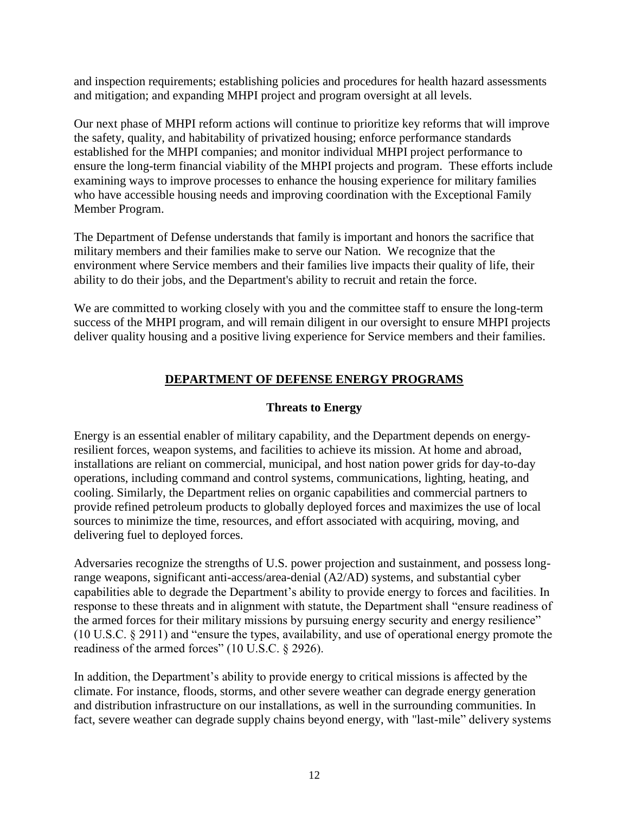and inspection requirements; establishing policies and procedures for health hazard assessments and mitigation; and expanding MHPI project and program oversight at all levels.

Our next phase of MHPI reform actions will continue to prioritize key reforms that will improve the safety, quality, and habitability of privatized housing; enforce performance standards established for the MHPI companies; and monitor individual MHPI project performance to ensure the long-term financial viability of the MHPI projects and program. These efforts include examining ways to improve processes to enhance the housing experience for military families who have accessible housing needs and improving coordination with the Exceptional Family Member Program.

The Department of Defense understands that family is important and honors the sacrifice that military members and their families make to serve our Nation. We recognize that the environment where Service members and their families live impacts their quality of life, their ability to do their jobs, and the Department's ability to recruit and retain the force.

We are committed to working closely with you and the committee staff to ensure the long-term success of the MHPI program, and will remain diligent in our oversight to ensure MHPI projects deliver quality housing and a positive living experience for Service members and their families.

## **DEPARTMENT OF DEFENSE ENERGY PROGRAMS**

## **Threats to Energy**

Energy is an essential enabler of military capability, and the Department depends on energyresilient forces, weapon systems, and facilities to achieve its mission. At home and abroad, installations are reliant on commercial, municipal, and host nation power grids for day-to-day operations, including command and control systems, communications, lighting, heating, and cooling. Similarly, the Department relies on organic capabilities and commercial partners to provide refined petroleum products to globally deployed forces and maximizes the use of local sources to minimize the time, resources, and effort associated with acquiring, moving, and delivering fuel to deployed forces.

Adversaries recognize the strengths of U.S. power projection and sustainment, and possess longrange weapons, significant anti-access/area-denial (A2/AD) systems, and substantial cyber capabilities able to degrade the Department's ability to provide energy to forces and facilities. In response to these threats and in alignment with statute, the Department shall "ensure readiness of the armed forces for their military missions by pursuing energy security and energy resilience" (10 U.S.C. § 2911) and "ensure the types, availability, and use of operational energy promote the readiness of the armed forces" (10 U.S.C. § 2926).

In addition, the Department's ability to provide energy to critical missions is affected by the climate. For instance, floods, storms, and other severe weather can degrade energy generation and distribution infrastructure on our installations, as well in the surrounding communities. In fact, severe weather can degrade supply chains beyond energy, with "last-mile" delivery systems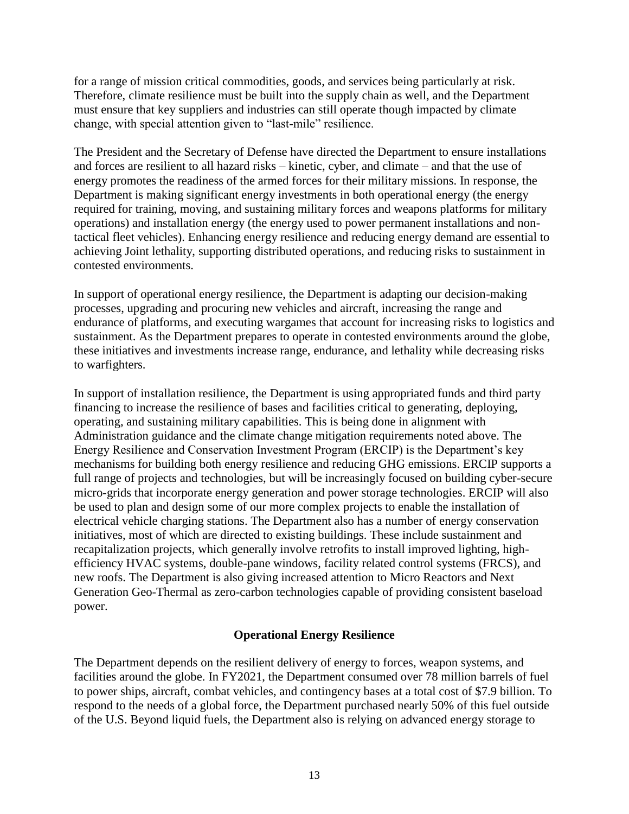for a range of mission critical commodities, goods, and services being particularly at risk. Therefore, climate resilience must be built into the supply chain as well, and the Department must ensure that key suppliers and industries can still operate though impacted by climate change, with special attention given to "last-mile" resilience.

The President and the Secretary of Defense have directed the Department to ensure installations and forces are resilient to all hazard risks – kinetic, cyber, and climate – and that the use of energy promotes the readiness of the armed forces for their military missions. In response, the Department is making significant energy investments in both operational energy (the energy required for training, moving, and sustaining military forces and weapons platforms for military operations) and installation energy (the energy used to power permanent installations and nontactical fleet vehicles). Enhancing energy resilience and reducing energy demand are essential to achieving Joint lethality, supporting distributed operations, and reducing risks to sustainment in contested environments.

In support of operational energy resilience, the Department is adapting our decision-making processes, upgrading and procuring new vehicles and aircraft, increasing the range and endurance of platforms, and executing wargames that account for increasing risks to logistics and sustainment. As the Department prepares to operate in contested environments around the globe, these initiatives and investments increase range, endurance, and lethality while decreasing risks to warfighters.

In support of installation resilience, the Department is using appropriated funds and third party financing to increase the resilience of bases and facilities critical to generating, deploying, operating, and sustaining military capabilities. This is being done in alignment with Administration guidance and the climate change mitigation requirements noted above. The Energy Resilience and Conservation Investment Program (ERCIP) is the Department's key mechanisms for building both energy resilience and reducing GHG emissions. ERCIP supports a full range of projects and technologies, but will be increasingly focused on building cyber-secure micro-grids that incorporate energy generation and power storage technologies. ERCIP will also be used to plan and design some of our more complex projects to enable the installation of electrical vehicle charging stations. The Department also has a number of energy conservation initiatives, most of which are directed to existing buildings. These include sustainment and recapitalization projects, which generally involve retrofits to install improved lighting, highefficiency HVAC systems, double-pane windows, facility related control systems (FRCS), and new roofs. The Department is also giving increased attention to Micro Reactors and Next Generation Geo-Thermal as zero-carbon technologies capable of providing consistent baseload power.

## **Operational Energy Resilience**

The Department depends on the resilient delivery of energy to forces, weapon systems, and facilities around the globe. In FY2021, the Department consumed over 78 million barrels of fuel to power ships, aircraft, combat vehicles, and contingency bases at a total cost of \$7.9 billion. To respond to the needs of a global force, the Department purchased nearly 50% of this fuel outside of the U.S. Beyond liquid fuels, the Department also is relying on advanced energy storage to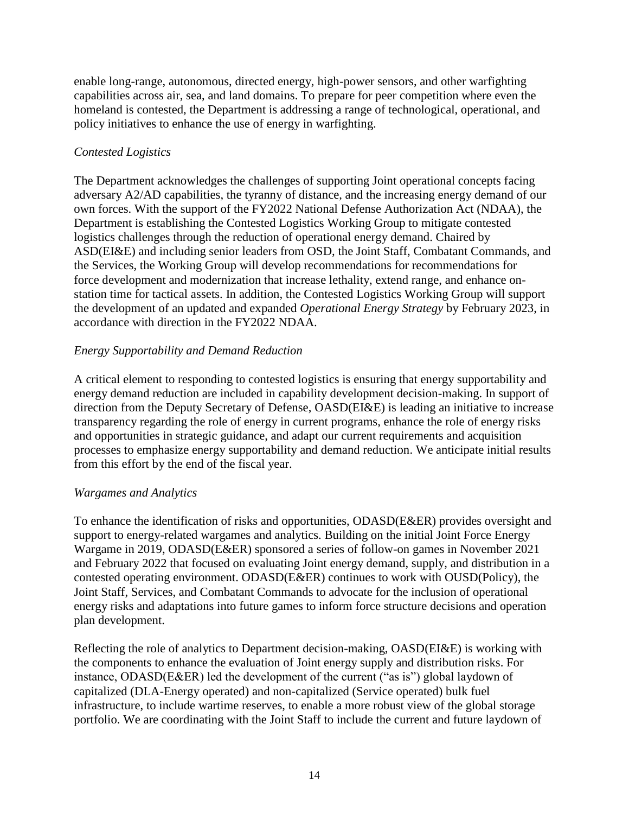enable long-range, autonomous, directed energy, high-power sensors, and other warfighting capabilities across air, sea, and land domains. To prepare for peer competition where even the homeland is contested, the Department is addressing a range of technological, operational, and policy initiatives to enhance the use of energy in warfighting.

# *Contested Logistics*

The Department acknowledges the challenges of supporting Joint operational concepts facing adversary A2/AD capabilities, the tyranny of distance, and the increasing energy demand of our own forces. With the support of the FY2022 National Defense Authorization Act (NDAA), the Department is establishing the Contested Logistics Working Group to mitigate contested logistics challenges through the reduction of operational energy demand. Chaired by ASD(EI&E) and including senior leaders from OSD, the Joint Staff, Combatant Commands, and the Services, the Working Group will develop recommendations for recommendations for force development and modernization that increase lethality, extend range, and enhance onstation time for tactical assets. In addition, the Contested Logistics Working Group will support the development of an updated and expanded *Operational Energy Strategy* by February 2023, in accordance with direction in the FY2022 NDAA.

# *Energy Supportability and Demand Reduction*

A critical element to responding to contested logistics is ensuring that energy supportability and energy demand reduction are included in capability development decision-making. In support of direction from the Deputy Secretary of Defense, OASD(EI&E) is leading an initiative to increase transparency regarding the role of energy in current programs, enhance the role of energy risks and opportunities in strategic guidance, and adapt our current requirements and acquisition processes to emphasize energy supportability and demand reduction. We anticipate initial results from this effort by the end of the fiscal year.

## *Wargames and Analytics*

To enhance the identification of risks and opportunities, ODASD(E&ER) provides oversight and support to energy-related wargames and analytics. Building on the initial Joint Force Energy Wargame in 2019, ODASD(E&ER) sponsored a series of follow-on games in November 2021 and February 2022 that focused on evaluating Joint energy demand, supply, and distribution in a contested operating environment. ODASD(E&ER) continues to work with OUSD(Policy), the Joint Staff, Services, and Combatant Commands to advocate for the inclusion of operational energy risks and adaptations into future games to inform force structure decisions and operation plan development.

Reflecting the role of analytics to Department decision-making, OASD(EI&E) is working with the components to enhance the evaluation of Joint energy supply and distribution risks. For instance, ODASD(E&ER) led the development of the current ("as is") global laydown of capitalized (DLA-Energy operated) and non-capitalized (Service operated) bulk fuel infrastructure, to include wartime reserves, to enable a more robust view of the global storage portfolio. We are coordinating with the Joint Staff to include the current and future laydown of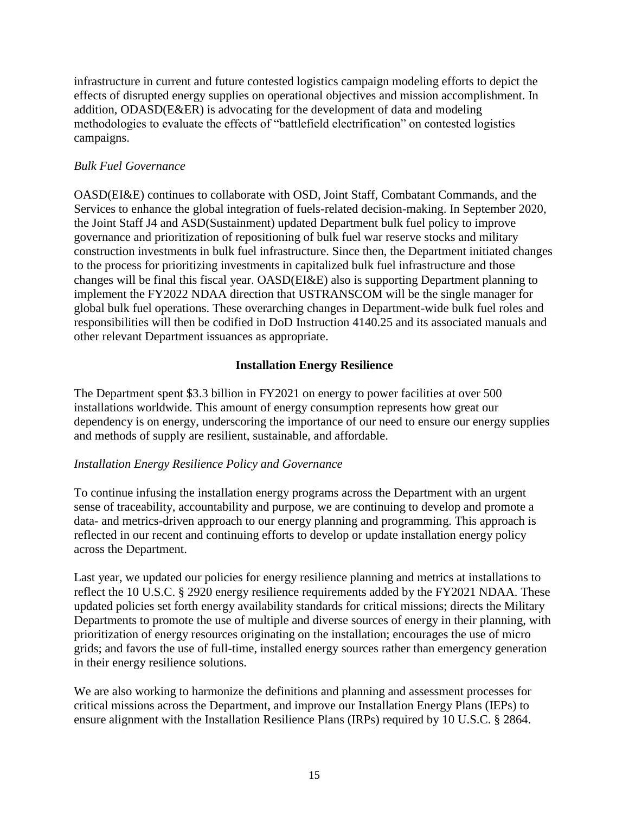infrastructure in current and future contested logistics campaign modeling efforts to depict the effects of disrupted energy supplies on operational objectives and mission accomplishment. In addition, ODASD(E&ER) is advocating for the development of data and modeling methodologies to evaluate the effects of "battlefield electrification" on contested logistics campaigns.

### *Bulk Fuel Governance*

OASD(EI&E) continues to collaborate with OSD, Joint Staff, Combatant Commands, and the Services to enhance the global integration of fuels-related decision-making. In September 2020, the Joint Staff J4 and ASD(Sustainment) updated Department bulk fuel policy to improve governance and prioritization of repositioning of bulk fuel war reserve stocks and military construction investments in bulk fuel infrastructure. Since then, the Department initiated changes to the process for prioritizing investments in capitalized bulk fuel infrastructure and those changes will be final this fiscal year. OASD(EI&E) also is supporting Department planning to implement the FY2022 NDAA direction that USTRANSCOM will be the single manager for global bulk fuel operations. These overarching changes in Department-wide bulk fuel roles and responsibilities will then be codified in DoD Instruction 4140.25 and its associated manuals and other relevant Department issuances as appropriate.

## **Installation Energy Resilience**

The Department spent \$3.3 billion in FY2021 on energy to power facilities at over 500 installations worldwide. This amount of energy consumption represents how great our dependency is on energy, underscoring the importance of our need to ensure our energy supplies and methods of supply are resilient, sustainable, and affordable.

## *Installation Energy Resilience Policy and Governance*

To continue infusing the installation energy programs across the Department with an urgent sense of traceability, accountability and purpose, we are continuing to develop and promote a data- and metrics-driven approach to our energy planning and programming. This approach is reflected in our recent and continuing efforts to develop or update installation energy policy across the Department.

Last year, we updated our policies for energy resilience planning and metrics at installations to reflect the 10 U.S.C. § 2920 energy resilience requirements added by the FY2021 NDAA. These updated policies set forth energy availability standards for critical missions; directs the Military Departments to promote the use of multiple and diverse sources of energy in their planning, with prioritization of energy resources originating on the installation; encourages the use of micro grids; and favors the use of full-time, installed energy sources rather than emergency generation in their energy resilience solutions.

We are also working to harmonize the definitions and planning and assessment processes for critical missions across the Department, and improve our Installation Energy Plans (IEPs) to ensure alignment with the Installation Resilience Plans (IRPs) required by 10 U.S.C. § 2864.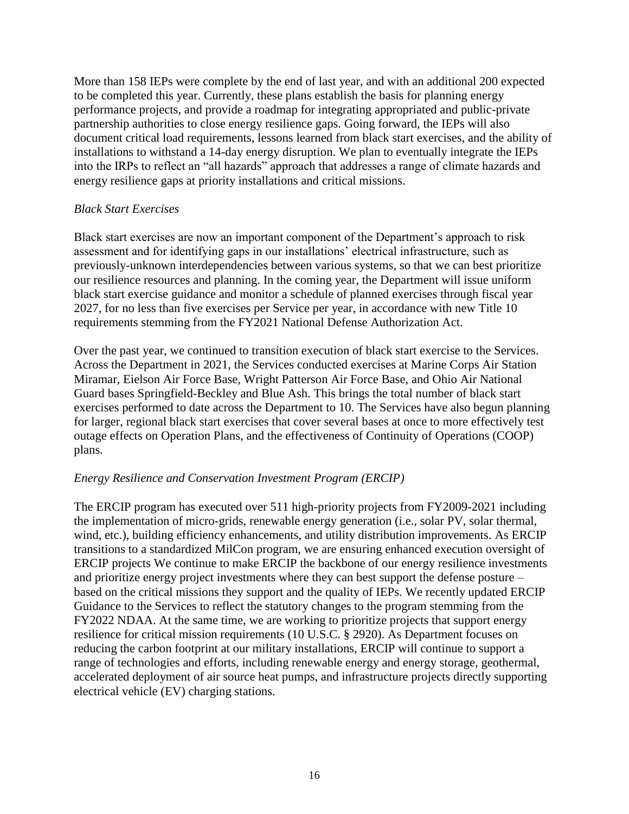More than 158 IEPs were complete by the end of last year, and with an additional 200 expected to be completed this year. Currently, these plans establish the basis for planning energy performance projects, and provide a roadmap for integrating appropriated and public-private partnership authorities to close energy resilience gaps. Going forward, the IEPs will also document critical load requirements, lessons learned from black start exercises, and the ability of installations to withstand a 14-day energy disruption. We plan to eventually integrate the IEPs into the IRPs to reflect an "all hazards" approach that addresses a range of climate hazards and energy resilience gaps at priority installations and critical missions.

### *Black Start Exercises*

Black start exercises are now an important component of the Department's approach to risk assessment and for identifying gaps in our installations' electrical infrastructure, such as previously-unknown interdependencies between various systems, so that we can best prioritize our resilience resources and planning. In the coming year, the Department will issue uniform black start exercise guidance and monitor a schedule of planned exercises through fiscal year 2027, for no less than five exercises per Service per year, in accordance with new Title 10 requirements stemming from the FY2021 National Defense Authorization Act.

Over the past year, we continued to transition execution of black start exercise to the Services. Across the Department in 2021, the Services conducted exercises at Marine Corps Air Station Miramar, Eielson Air Force Base, Wright Patterson Air Force Base, and Ohio Air National Guard bases Springfield-Beckley and Blue Ash. This brings the total number of black start exercises performed to date across the Department to 10. The Services have also begun planning for larger, regional black start exercises that cover several bases at once to more effectively test outage effects on Operation Plans, and the effectiveness of Continuity of Operations (COOP) plans.

## *Energy Resilience and Conservation Investment Program (ERCIP)*

The ERCIP program has executed over 511 high-priority projects from FY2009-2021 including the implementation of micro-grids, renewable energy generation (i.e., solar PV, solar thermal, wind, etc.), building efficiency enhancements, and utility distribution improvements. As ERCIP transitions to a standardized MilCon program, we are ensuring enhanced execution oversight of ERCIP projects We continue to make ERCIP the backbone of our energy resilience investments and prioritize energy project investments where they can best support the defense posture – based on the critical missions they support and the quality of IEPs. We recently updated ERCIP Guidance to the Services to reflect the statutory changes to the program stemming from the FY2022 NDAA. At the same time, we are working to prioritize projects that support energy resilience for critical mission requirements (10 U.S.C. § 2920). As Department focuses on reducing the carbon footprint at our military installations, ERCIP will continue to support a range of technologies and efforts, including renewable energy and energy storage, geothermal, accelerated deployment of air source heat pumps, and infrastructure projects directly supporting electrical vehicle (EV) charging stations.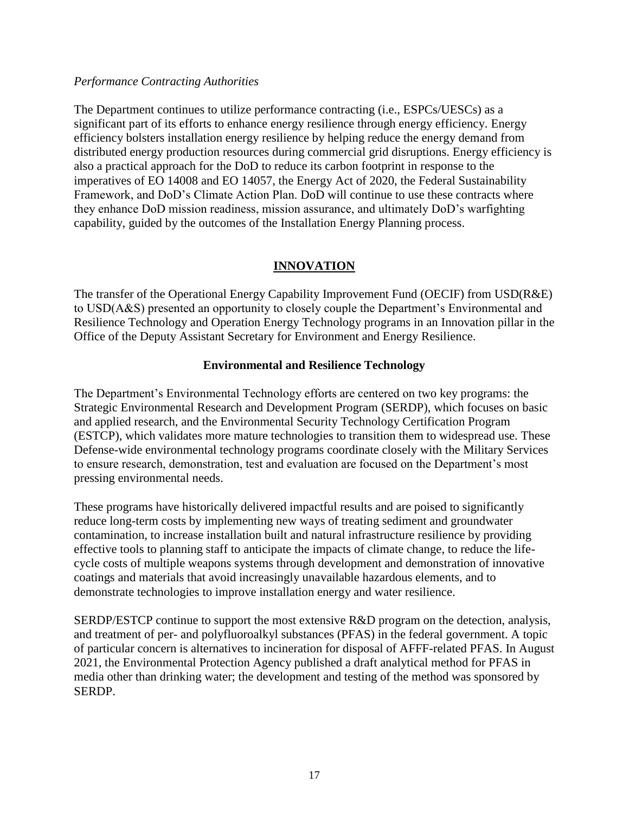### *Performance Contracting Authorities*

The Department continues to utilize performance contracting (i.e., ESPCs/UESCs) as a significant part of its efforts to enhance energy resilience through energy efficiency. Energy efficiency bolsters installation energy resilience by helping reduce the energy demand from distributed energy production resources during commercial grid disruptions. Energy efficiency is also a practical approach for the DoD to reduce its carbon footprint in response to the imperatives of EO 14008 and EO 14057, the Energy Act of 2020, the Federal Sustainability Framework, and DoD's Climate Action Plan. DoD will continue to use these contracts where they enhance DoD mission readiness, mission assurance, and ultimately DoD's warfighting capability, guided by the outcomes of the Installation Energy Planning process.

## **INNOVATION**

The transfer of the Operational Energy Capability Improvement Fund (OECIF) from USD(R&E) to USD(A&S) presented an opportunity to closely couple the Department's Environmental and Resilience Technology and Operation Energy Technology programs in an Innovation pillar in the Office of the Deputy Assistant Secretary for Environment and Energy Resilience.

## **Environmental and Resilience Technology**

The Department's Environmental Technology efforts are centered on two key programs: the Strategic Environmental Research and Development Program (SERDP), which focuses on basic and applied research, and the Environmental Security Technology Certification Program (ESTCP), which validates more mature technologies to transition them to widespread use. These Defense-wide environmental technology programs coordinate closely with the Military Services to ensure research, demonstration, test and evaluation are focused on the Department's most pressing environmental needs.

These programs have historically delivered impactful results and are poised to significantly reduce long-term costs by implementing new ways of treating sediment and groundwater contamination, to increase installation built and natural infrastructure resilience by providing effective tools to planning staff to anticipate the impacts of climate change, to reduce the lifecycle costs of multiple weapons systems through development and demonstration of innovative coatings and materials that avoid increasingly unavailable hazardous elements, and to demonstrate technologies to improve installation energy and water resilience.

SERDP/ESTCP continue to support the most extensive R&D program on the detection, analysis, and treatment of per- and polyfluoroalkyl substances (PFAS) in the federal government. A topic of particular concern is alternatives to incineration for disposal of AFFF-related PFAS. In August 2021, the Environmental Protection Agency published a draft analytical method for PFAS in media other than drinking water; the development and testing of the method was sponsored by SERDP.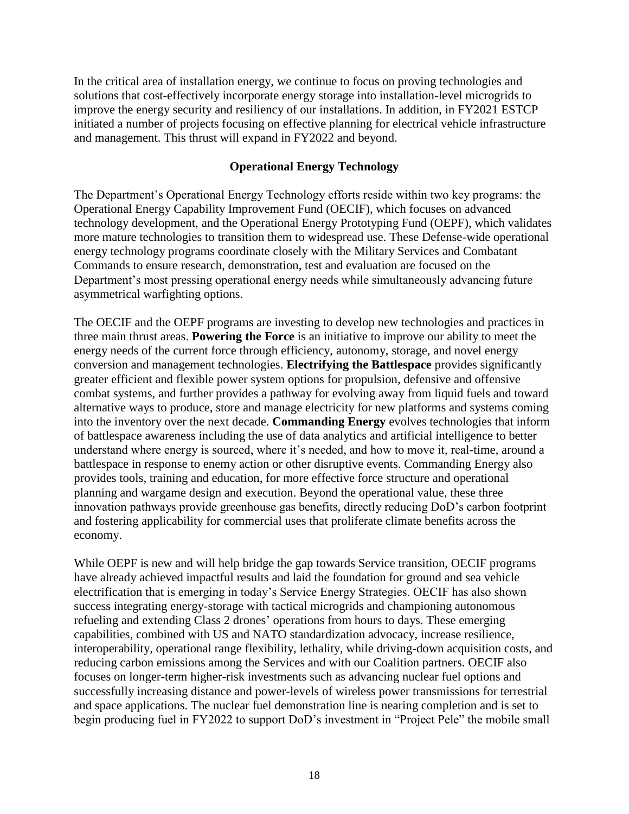In the critical area of installation energy, we continue to focus on proving technologies and solutions that cost-effectively incorporate energy storage into installation-level microgrids to improve the energy security and resiliency of our installations. In addition, in FY2021 ESTCP initiated a number of projects focusing on effective planning for electrical vehicle infrastructure and management. This thrust will expand in FY2022 and beyond.

### **Operational Energy Technology**

The Department's Operational Energy Technology efforts reside within two key programs: the Operational Energy Capability Improvement Fund (OECIF), which focuses on advanced technology development, and the Operational Energy Prototyping Fund (OEPF), which validates more mature technologies to transition them to widespread use. These Defense-wide operational energy technology programs coordinate closely with the Military Services and Combatant Commands to ensure research, demonstration, test and evaluation are focused on the Department's most pressing operational energy needs while simultaneously advancing future asymmetrical warfighting options.

The OECIF and the OEPF programs are investing to develop new technologies and practices in three main thrust areas. **Powering the Force** is an initiative to improve our ability to meet the energy needs of the current force through efficiency, autonomy, storage, and novel energy conversion and management technologies. **Electrifying the Battlespace** provides significantly greater efficient and flexible power system options for propulsion, defensive and offensive combat systems, and further provides a pathway for evolving away from liquid fuels and toward alternative ways to produce, store and manage electricity for new platforms and systems coming into the inventory over the next decade. **Commanding Energy** evolves technologies that inform of battlespace awareness including the use of data analytics and artificial intelligence to better understand where energy is sourced, where it's needed, and how to move it, real-time, around a battlespace in response to enemy action or other disruptive events. Commanding Energy also provides tools, training and education, for more effective force structure and operational planning and wargame design and execution. Beyond the operational value, these three innovation pathways provide greenhouse gas benefits, directly reducing DoD's carbon footprint and fostering applicability for commercial uses that proliferate climate benefits across the economy.

While OEPF is new and will help bridge the gap towards Service transition, OECIF programs have already achieved impactful results and laid the foundation for ground and sea vehicle electrification that is emerging in today's Service Energy Strategies. OECIF has also shown success integrating energy-storage with tactical microgrids and championing autonomous refueling and extending Class 2 drones' operations from hours to days. These emerging capabilities, combined with US and NATO standardization advocacy, increase resilience, interoperability, operational range flexibility, lethality, while driving-down acquisition costs, and reducing carbon emissions among the Services and with our Coalition partners. OECIF also focuses on longer-term higher-risk investments such as advancing nuclear fuel options and successfully increasing distance and power-levels of wireless power transmissions for terrestrial and space applications. The nuclear fuel demonstration line is nearing completion and is set to begin producing fuel in FY2022 to support DoD's investment in "Project Pele" the mobile small